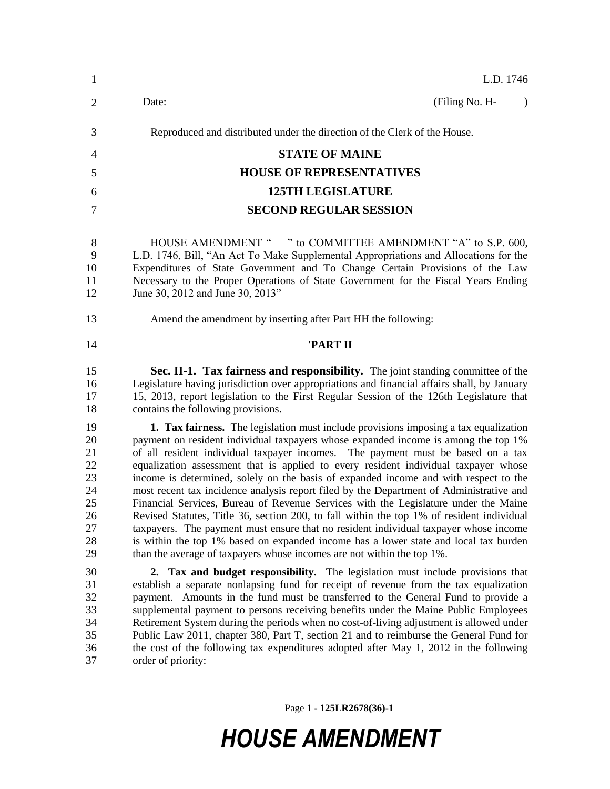| $\mathbf{1}$                                                   | L.D. 1746                                                                                                                                                                                                                                                                                                                                                                                                                                                                                                                                                                                                                                                                                                                                                                                                                                                                                                                                                                             |
|----------------------------------------------------------------|---------------------------------------------------------------------------------------------------------------------------------------------------------------------------------------------------------------------------------------------------------------------------------------------------------------------------------------------------------------------------------------------------------------------------------------------------------------------------------------------------------------------------------------------------------------------------------------------------------------------------------------------------------------------------------------------------------------------------------------------------------------------------------------------------------------------------------------------------------------------------------------------------------------------------------------------------------------------------------------|
| $\overline{2}$                                                 | (Filing No. H-<br>Date:<br>$\lambda$                                                                                                                                                                                                                                                                                                                                                                                                                                                                                                                                                                                                                                                                                                                                                                                                                                                                                                                                                  |
| 3                                                              | Reproduced and distributed under the direction of the Clerk of the House.                                                                                                                                                                                                                                                                                                                                                                                                                                                                                                                                                                                                                                                                                                                                                                                                                                                                                                             |
| 4                                                              | <b>STATE OF MAINE</b>                                                                                                                                                                                                                                                                                                                                                                                                                                                                                                                                                                                                                                                                                                                                                                                                                                                                                                                                                                 |
| 5                                                              | <b>HOUSE OF REPRESENTATIVES</b>                                                                                                                                                                                                                                                                                                                                                                                                                                                                                                                                                                                                                                                                                                                                                                                                                                                                                                                                                       |
| 6                                                              | <b>125TH LEGISLATURE</b>                                                                                                                                                                                                                                                                                                                                                                                                                                                                                                                                                                                                                                                                                                                                                                                                                                                                                                                                                              |
| 7                                                              | <b>SECOND REGULAR SESSION</b>                                                                                                                                                                                                                                                                                                                                                                                                                                                                                                                                                                                                                                                                                                                                                                                                                                                                                                                                                         |
| 8<br>9<br>10<br>11<br>12                                       | HOUSE AMENDMENT " " to COMMITTEE AMENDMENT "A" to S.P. 600,<br>L.D. 1746, Bill, "An Act To Make Supplemental Appropriations and Allocations for the<br>Expenditures of State Government and To Change Certain Provisions of the Law<br>Necessary to the Proper Operations of State Government for the Fiscal Years Ending<br>June 30, 2012 and June 30, 2013"                                                                                                                                                                                                                                                                                                                                                                                                                                                                                                                                                                                                                         |
| 13                                                             | Amend the amendment by inserting after Part HH the following:                                                                                                                                                                                                                                                                                                                                                                                                                                                                                                                                                                                                                                                                                                                                                                                                                                                                                                                         |
| 14                                                             | 'PART II                                                                                                                                                                                                                                                                                                                                                                                                                                                                                                                                                                                                                                                                                                                                                                                                                                                                                                                                                                              |
| 15<br>16<br>17<br>18                                           | Sec. II-1. Tax fairness and responsibility. The joint standing committee of the<br>Legislature having jurisdiction over appropriations and financial affairs shall, by January<br>15, 2013, report legislation to the First Regular Session of the 126th Legislature that<br>contains the following provisions.                                                                                                                                                                                                                                                                                                                                                                                                                                                                                                                                                                                                                                                                       |
| 19<br>20<br>21<br>22<br>23<br>24<br>25<br>26<br>27<br>28<br>29 | 1. Tax fairness. The legislation must include provisions imposing a tax equalization<br>payment on resident individual taxpayers whose expanded income is among the top 1%<br>of all resident individual taxpayer incomes. The payment must be based on a tax<br>equalization assessment that is applied to every resident individual taxpayer whose<br>income is determined, solely on the basis of expanded income and with respect to the<br>most recent tax incidence analysis report filed by the Department of Administrative and<br>Financial Services, Bureau of Revenue Services with the Legislature under the Maine<br>Revised Statutes, Title 36, section 200, to fall within the top 1% of resident individual<br>taxpayers. The payment must ensure that no resident individual taxpayer whose income<br>is within the top 1% based on expanded income has a lower state and local tax burden<br>than the average of taxpayers whose incomes are not within the top 1%. |
| 30<br>31<br>32<br>33<br>34<br>35<br>36<br>37                   | 2. Tax and budget responsibility. The legislation must include provisions that<br>establish a separate nonlapsing fund for receipt of revenue from the tax equalization<br>payment. Amounts in the fund must be transferred to the General Fund to provide a<br>supplemental payment to persons receiving benefits under the Maine Public Employees<br>Retirement System during the periods when no cost-of-living adjustment is allowed under<br>Public Law 2011, chapter 380, Part T, section 21 and to reimburse the General Fund for<br>the cost of the following tax expenditures adopted after May 1, 2012 in the following<br>order of priority:                                                                                                                                                                                                                                                                                                                               |

Page 1 **- 125LR2678(36)-1**

## *HOUSE AMENDMENT*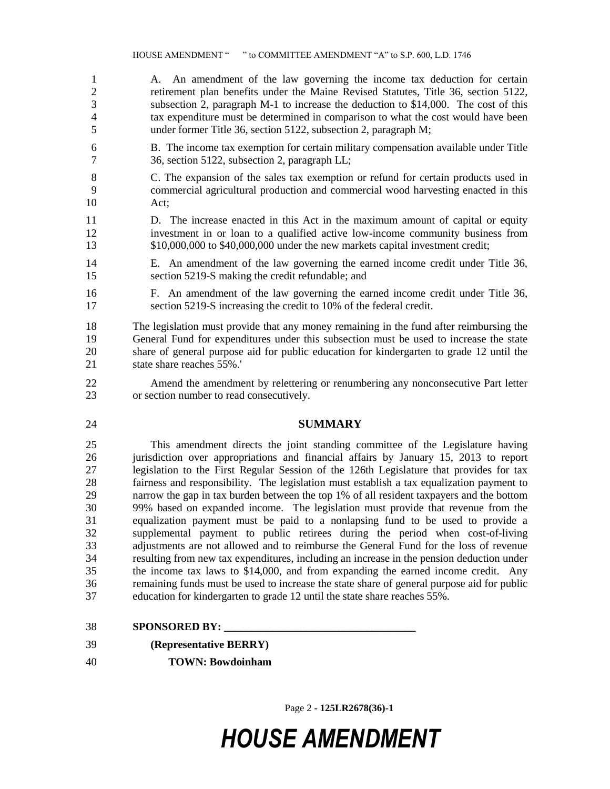A. An amendment of the law governing the income tax deduction for certain retirement plan benefits under the Maine Revised Statutes, Title 36, section 5122, subsection 2, paragraph M-1 to increase the deduction to \$14,000. The cost of this tax expenditure must be determined in comparison to what the cost would have been under former Title 36, section 5122, subsection 2, paragraph M;

- B. The income tax exemption for certain military compensation available under Title 36, section 5122, subsection 2, paragraph LL;
- C. The expansion of the sales tax exemption or refund for certain products used in commercial agricultural production and commercial wood harvesting enacted in this Act;
- D. The increase enacted in this Act in the maximum amount of capital or equity investment in or loan to a qualified active low-income community business from \$10,000,000 to \$40,000,000 under the new markets capital investment credit;
- E. An amendment of the law governing the earned income credit under Title 36, section 5219-S making the credit refundable; and
- F. An amendment of the law governing the earned income credit under Title 36, section 5219-S increasing the credit to 10% of the federal credit.
- The legislation must provide that any money remaining in the fund after reimbursing the General Fund for expenditures under this subsection must be used to increase the state share of general purpose aid for public education for kindergarten to grade 12 until the state share reaches 55%.'
- Amend the amendment by relettering or renumbering any nonconsecutive Part letter or section number to read consecutively.
- **SUMMARY**

 This amendment directs the joint standing committee of the Legislature having jurisdiction over appropriations and financial affairs by January 15, 2013 to report legislation to the First Regular Session of the 126th Legislature that provides for tax fairness and responsibility. The legislation must establish a tax equalization payment to narrow the gap in tax burden between the top 1% of all resident taxpayers and the bottom 99% based on expanded income. The legislation must provide that revenue from the equalization payment must be paid to a nonlapsing fund to be used to provide a supplemental payment to public retirees during the period when cost-of-living adjustments are not allowed and to reimburse the General Fund for the loss of revenue resulting from new tax expenditures, including an increase in the pension deduction under the income tax laws to \$14,000, and from expanding the earned income credit. Any remaining funds must be used to increase the state share of general purpose aid for public education for kindergarten to grade 12 until the state share reaches 55%.

- **SPONSORED BY:**
- **(Representative BERRY)**
- **TOWN: Bowdoinham**

Page 2 **- 125LR2678(36)-1**

## *HOUSE AMENDMENT*